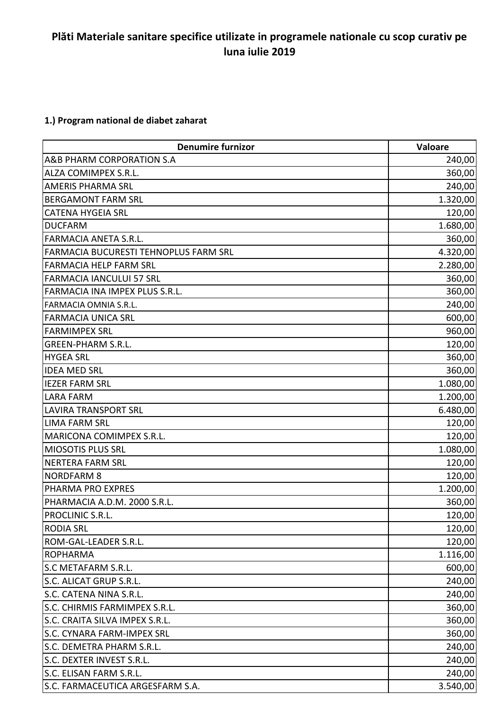## **Plăti Materiale sanitare specifice utilizate in programele nationale cu scop curativ pe luna iulie 2019**

## **1.) Program national de diabet zaharat**

| <b>Denumire furnizor</b>              | Valoare  |
|---------------------------------------|----------|
| A&B PHARM CORPORATION S.A             | 240,00   |
| ALZA COMIMPEX S.R.L.                  | 360,00   |
| <b>AMERIS PHARMA SRL</b>              | 240,00   |
| <b>BERGAMONT FARM SRL</b>             | 1.320,00 |
| <b>CATENA HYGEIA SRL</b>              | 120,00   |
| <b>DUCFARM</b>                        | 1.680,00 |
| <b>FARMACIA ANETA S.R.L.</b>          | 360,00   |
| FARMACIA BUCURESTI TEHNOPLUS FARM SRL | 4.320,00 |
| <b>FARMACIA HELP FARM SRL</b>         | 2.280,00 |
| <b>FARMACIA IANCULUI 57 SRL</b>       | 360,00   |
| FARMACIA INA IMPEX PLUS S.R.L.        | 360,00   |
| FARMACIA OMNIA S.R.L.                 | 240,00   |
| <b>FARMACIA UNICA SRL</b>             | 600,00   |
| <b>FARMIMPEX SRL</b>                  | 960,00   |
| <b>GREEN-PHARM S.R.L.</b>             | 120,00   |
| <b>HYGEA SRL</b>                      | 360,00   |
| <b>IDEA MED SRL</b>                   | 360,00   |
| <b>IEZER FARM SRL</b>                 | 1.080,00 |
| <b>LARA FARM</b>                      | 1.200,00 |
| <b>LAVIRA TRANSPORT SRL</b>           | 6.480,00 |
| <b>LIMA FARM SRL</b>                  | 120,00   |
| MARICONA COMIMPEX S.R.L.              | 120,00   |
| <b>MIOSOTIS PLUS SRL</b>              | 1.080,00 |
| <b>NERTERA FARM SRL</b>               | 120,00   |
| <b>NORDFARM 8</b>                     | 120,00   |
| PHARMA PRO EXPRES                     | 1.200,00 |
| PHARMACIA A.D.M. 2000 S.R.L.          | 360,00   |
| PROCLINIC S.R.L                       | 120,00   |
| <b>RODIA SRL</b>                      | 120,00   |
| ROM-GAL-LEADER S.R.L.                 | 120,00   |
| <b>ROPHARMA</b>                       | 1.116,00 |
| <b>S.C METAFARM S.R.L.</b>            | 600,00   |
| S.C. ALICAT GRUP S.R.L.               | 240,00   |
| S.C. CATENA NINA S.R.L.               | 240,00   |
| S.C. CHIRMIS FARMIMPEX S.R.L.         | 360,00   |
| S.C. CRAITA SILVA IMPEX S.R.L.        | 360,00   |
| S.C. CYNARA FARM-IMPEX SRL            | 360,00   |
| S.C. DEMETRA PHARM S.R.L.             | 240,00   |
| S.C. DEXTER INVEST S.R.L.             | 240,00   |
| S.C. ELISAN FARM S.R.L.               | 240,00   |
| S.C. FARMACEUTICA ARGESFARM S.A.      | 3.540,00 |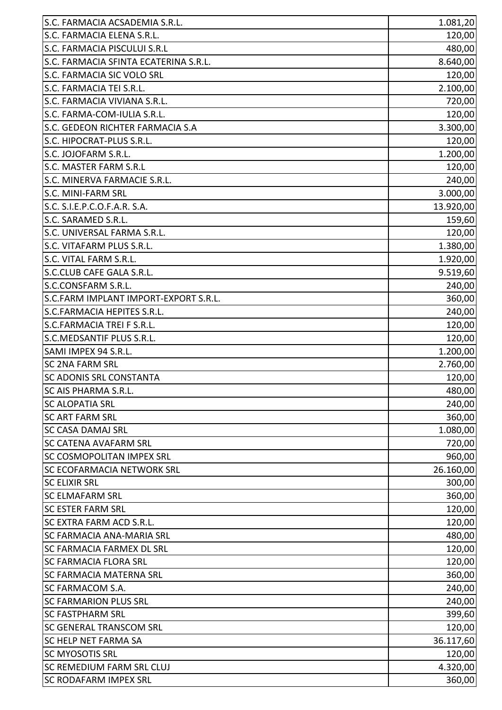| S.C. FARMACIA ELENA S.R.L.<br>120,00<br>S.C. FARMACIA PISCULUI S.R.L<br>S.C. FARMACIA SFINTA ECATERINA S.R.L.<br><b>S.C. FARMACIA SIC VOLO SRL</b><br>S.C. FARMACIA TEI S.R.L.<br>S.C. FARMACIA VIVIANA S.R.L.<br>S.C. FARMA-COM-IULIA S.R.L.<br>S.C. GEDEON RICHTER FARMACIA S.A<br>S.C. HIPOCRAT-PLUS S.R.L.<br>S.C. JOJOFARM S.R.L.<br>S.C. MASTER FARM S.R.L<br>S.C. MINERVA FARMACIE S.R.L.<br><b>S.C. MINI-FARM SRL</b><br>S.C. S.I.E.P.C.O.F.A.R. S.A.<br>S.C. SARAMED S.R.L.<br>S.C. UNIVERSAL FARMA S.R.L.<br>S.C. VITAFARM PLUS S.R.L.<br>S.C. VITAL FARM S.R.L.<br>S.C.CLUB CAFE GALA S.R.L.<br>S.C.CONSFARM S.R.L.<br>S.C.FARM IMPLANT IMPORT-EXPORT S.R.L.<br>S.C.FARMACIA HEPITES S.R.L.<br>S.C.FARMACIA TREI F S.R.L.<br>S.C.MEDSANTIF PLUS S.R.L.<br>SAMI IMPEX 94 S.R.L.<br><b>SC 2NA FARM SRL</b><br><b>SC ADONIS SRL CONSTANTA</b><br>SC AIS PHARMA S.R.L.<br><b>SC ALOPATIA SRL</b><br><b>SC ART FARM SRL</b><br><b>SC CASA DAMAJ SRL</b><br><b>SC CATENA AVAFARM SRL</b><br><b>SC COSMOPOLITAN IMPEX SRL</b><br><b>SC ECOFARMACIA NETWORK SRL</b><br><b>SC ELIXIR SRL</b><br><b>SC ELMAFARM SRL</b><br><b>SC ESTER FARM SRL</b><br>SC EXTRA FARM ACD S.R.L.<br><b>SC FARMACIA ANA-MARIA SRL</b><br><b>SC FARMACIA FARMEX DL SRL</b><br><b>SC FARMACIA FLORA SRL</b><br><b>SC FARMACIA MATERNA SRL</b><br><b>SC FARMACOM S.A.</b><br><b>SC FARMARION PLUS SRL</b><br><b>SC FASTPHARM SRL</b><br><b>SC GENERAL TRANSCOM SRL</b><br><b>SC HELP NET FARMA SA</b><br><b>SC MYOSOTIS SRL</b><br><b>SC REMEDIUM FARM SRL CLUJ</b><br><b>SC RODAFARM IMPEX SRL</b> | S.C. FARMACIA ACSADEMIA S.R.L. | 1.081,20 |
|---------------------------------------------------------------------------------------------------------------------------------------------------------------------------------------------------------------------------------------------------------------------------------------------------------------------------------------------------------------------------------------------------------------------------------------------------------------------------------------------------------------------------------------------------------------------------------------------------------------------------------------------------------------------------------------------------------------------------------------------------------------------------------------------------------------------------------------------------------------------------------------------------------------------------------------------------------------------------------------------------------------------------------------------------------------------------------------------------------------------------------------------------------------------------------------------------------------------------------------------------------------------------------------------------------------------------------------------------------------------------------------------------------------------------------------------------------------------------------------------------------------------------------------------------------------------------------|--------------------------------|----------|
|                                                                                                                                                                                                                                                                                                                                                                                                                                                                                                                                                                                                                                                                                                                                                                                                                                                                                                                                                                                                                                                                                                                                                                                                                                                                                                                                                                                                                                                                                                                                                                                 |                                |          |
| 8.640,00<br>120,00<br>2.100,00<br>720,00<br>120,00<br>3.300,00<br>120,00<br>1.200,00<br>120,00<br>240,00<br>3.000,00<br>13.920,00<br>159,60<br>120,00<br>1.380,00<br>1.920,00<br>9.519,60<br>240,00<br>360,00<br>240,00<br>120,00<br>120,00<br>1.200,00<br>2.760,00<br>120,00<br>480,00<br>240,00<br>360,00<br>1.080,00<br>720,00<br>960,00<br>26.160,00<br>300,00<br>360,00<br>120,00<br>120,00<br>480,00<br>120,00<br>120,00<br>360,00<br>240,00<br>240,00<br>399,60<br>120,00<br>36.117,60<br>120,00<br>4.320,00<br>360,00                                                                                                                                                                                                                                                                                                                                                                                                                                                                                                                                                                                                                                                                                                                                                                                                                                                                                                                                                                                                                                                   |                                | 480,00   |
|                                                                                                                                                                                                                                                                                                                                                                                                                                                                                                                                                                                                                                                                                                                                                                                                                                                                                                                                                                                                                                                                                                                                                                                                                                                                                                                                                                                                                                                                                                                                                                                 |                                |          |
|                                                                                                                                                                                                                                                                                                                                                                                                                                                                                                                                                                                                                                                                                                                                                                                                                                                                                                                                                                                                                                                                                                                                                                                                                                                                                                                                                                                                                                                                                                                                                                                 |                                |          |
|                                                                                                                                                                                                                                                                                                                                                                                                                                                                                                                                                                                                                                                                                                                                                                                                                                                                                                                                                                                                                                                                                                                                                                                                                                                                                                                                                                                                                                                                                                                                                                                 |                                |          |
|                                                                                                                                                                                                                                                                                                                                                                                                                                                                                                                                                                                                                                                                                                                                                                                                                                                                                                                                                                                                                                                                                                                                                                                                                                                                                                                                                                                                                                                                                                                                                                                 |                                |          |
|                                                                                                                                                                                                                                                                                                                                                                                                                                                                                                                                                                                                                                                                                                                                                                                                                                                                                                                                                                                                                                                                                                                                                                                                                                                                                                                                                                                                                                                                                                                                                                                 |                                |          |
|                                                                                                                                                                                                                                                                                                                                                                                                                                                                                                                                                                                                                                                                                                                                                                                                                                                                                                                                                                                                                                                                                                                                                                                                                                                                                                                                                                                                                                                                                                                                                                                 |                                |          |
|                                                                                                                                                                                                                                                                                                                                                                                                                                                                                                                                                                                                                                                                                                                                                                                                                                                                                                                                                                                                                                                                                                                                                                                                                                                                                                                                                                                                                                                                                                                                                                                 |                                |          |
|                                                                                                                                                                                                                                                                                                                                                                                                                                                                                                                                                                                                                                                                                                                                                                                                                                                                                                                                                                                                                                                                                                                                                                                                                                                                                                                                                                                                                                                                                                                                                                                 |                                |          |
|                                                                                                                                                                                                                                                                                                                                                                                                                                                                                                                                                                                                                                                                                                                                                                                                                                                                                                                                                                                                                                                                                                                                                                                                                                                                                                                                                                                                                                                                                                                                                                                 |                                |          |
|                                                                                                                                                                                                                                                                                                                                                                                                                                                                                                                                                                                                                                                                                                                                                                                                                                                                                                                                                                                                                                                                                                                                                                                                                                                                                                                                                                                                                                                                                                                                                                                 |                                |          |
|                                                                                                                                                                                                                                                                                                                                                                                                                                                                                                                                                                                                                                                                                                                                                                                                                                                                                                                                                                                                                                                                                                                                                                                                                                                                                                                                                                                                                                                                                                                                                                                 |                                |          |
|                                                                                                                                                                                                                                                                                                                                                                                                                                                                                                                                                                                                                                                                                                                                                                                                                                                                                                                                                                                                                                                                                                                                                                                                                                                                                                                                                                                                                                                                                                                                                                                 |                                |          |
|                                                                                                                                                                                                                                                                                                                                                                                                                                                                                                                                                                                                                                                                                                                                                                                                                                                                                                                                                                                                                                                                                                                                                                                                                                                                                                                                                                                                                                                                                                                                                                                 |                                |          |
|                                                                                                                                                                                                                                                                                                                                                                                                                                                                                                                                                                                                                                                                                                                                                                                                                                                                                                                                                                                                                                                                                                                                                                                                                                                                                                                                                                                                                                                                                                                                                                                 |                                |          |
|                                                                                                                                                                                                                                                                                                                                                                                                                                                                                                                                                                                                                                                                                                                                                                                                                                                                                                                                                                                                                                                                                                                                                                                                                                                                                                                                                                                                                                                                                                                                                                                 |                                |          |
|                                                                                                                                                                                                                                                                                                                                                                                                                                                                                                                                                                                                                                                                                                                                                                                                                                                                                                                                                                                                                                                                                                                                                                                                                                                                                                                                                                                                                                                                                                                                                                                 |                                |          |
|                                                                                                                                                                                                                                                                                                                                                                                                                                                                                                                                                                                                                                                                                                                                                                                                                                                                                                                                                                                                                                                                                                                                                                                                                                                                                                                                                                                                                                                                                                                                                                                 |                                |          |
|                                                                                                                                                                                                                                                                                                                                                                                                                                                                                                                                                                                                                                                                                                                                                                                                                                                                                                                                                                                                                                                                                                                                                                                                                                                                                                                                                                                                                                                                                                                                                                                 |                                |          |
|                                                                                                                                                                                                                                                                                                                                                                                                                                                                                                                                                                                                                                                                                                                                                                                                                                                                                                                                                                                                                                                                                                                                                                                                                                                                                                                                                                                                                                                                                                                                                                                 |                                |          |
|                                                                                                                                                                                                                                                                                                                                                                                                                                                                                                                                                                                                                                                                                                                                                                                                                                                                                                                                                                                                                                                                                                                                                                                                                                                                                                                                                                                                                                                                                                                                                                                 |                                |          |
|                                                                                                                                                                                                                                                                                                                                                                                                                                                                                                                                                                                                                                                                                                                                                                                                                                                                                                                                                                                                                                                                                                                                                                                                                                                                                                                                                                                                                                                                                                                                                                                 |                                |          |
|                                                                                                                                                                                                                                                                                                                                                                                                                                                                                                                                                                                                                                                                                                                                                                                                                                                                                                                                                                                                                                                                                                                                                                                                                                                                                                                                                                                                                                                                                                                                                                                 |                                |          |
|                                                                                                                                                                                                                                                                                                                                                                                                                                                                                                                                                                                                                                                                                                                                                                                                                                                                                                                                                                                                                                                                                                                                                                                                                                                                                                                                                                                                                                                                                                                                                                                 |                                |          |
|                                                                                                                                                                                                                                                                                                                                                                                                                                                                                                                                                                                                                                                                                                                                                                                                                                                                                                                                                                                                                                                                                                                                                                                                                                                                                                                                                                                                                                                                                                                                                                                 |                                |          |
|                                                                                                                                                                                                                                                                                                                                                                                                                                                                                                                                                                                                                                                                                                                                                                                                                                                                                                                                                                                                                                                                                                                                                                                                                                                                                                                                                                                                                                                                                                                                                                                 |                                |          |
|                                                                                                                                                                                                                                                                                                                                                                                                                                                                                                                                                                                                                                                                                                                                                                                                                                                                                                                                                                                                                                                                                                                                                                                                                                                                                                                                                                                                                                                                                                                                                                                 |                                |          |
|                                                                                                                                                                                                                                                                                                                                                                                                                                                                                                                                                                                                                                                                                                                                                                                                                                                                                                                                                                                                                                                                                                                                                                                                                                                                                                                                                                                                                                                                                                                                                                                 |                                |          |
|                                                                                                                                                                                                                                                                                                                                                                                                                                                                                                                                                                                                                                                                                                                                                                                                                                                                                                                                                                                                                                                                                                                                                                                                                                                                                                                                                                                                                                                                                                                                                                                 |                                |          |
|                                                                                                                                                                                                                                                                                                                                                                                                                                                                                                                                                                                                                                                                                                                                                                                                                                                                                                                                                                                                                                                                                                                                                                                                                                                                                                                                                                                                                                                                                                                                                                                 |                                |          |
|                                                                                                                                                                                                                                                                                                                                                                                                                                                                                                                                                                                                                                                                                                                                                                                                                                                                                                                                                                                                                                                                                                                                                                                                                                                                                                                                                                                                                                                                                                                                                                                 |                                |          |
|                                                                                                                                                                                                                                                                                                                                                                                                                                                                                                                                                                                                                                                                                                                                                                                                                                                                                                                                                                                                                                                                                                                                                                                                                                                                                                                                                                                                                                                                                                                                                                                 |                                |          |
|                                                                                                                                                                                                                                                                                                                                                                                                                                                                                                                                                                                                                                                                                                                                                                                                                                                                                                                                                                                                                                                                                                                                                                                                                                                                                                                                                                                                                                                                                                                                                                                 |                                |          |
|                                                                                                                                                                                                                                                                                                                                                                                                                                                                                                                                                                                                                                                                                                                                                                                                                                                                                                                                                                                                                                                                                                                                                                                                                                                                                                                                                                                                                                                                                                                                                                                 |                                |          |
|                                                                                                                                                                                                                                                                                                                                                                                                                                                                                                                                                                                                                                                                                                                                                                                                                                                                                                                                                                                                                                                                                                                                                                                                                                                                                                                                                                                                                                                                                                                                                                                 |                                |          |
|                                                                                                                                                                                                                                                                                                                                                                                                                                                                                                                                                                                                                                                                                                                                                                                                                                                                                                                                                                                                                                                                                                                                                                                                                                                                                                                                                                                                                                                                                                                                                                                 |                                |          |
|                                                                                                                                                                                                                                                                                                                                                                                                                                                                                                                                                                                                                                                                                                                                                                                                                                                                                                                                                                                                                                                                                                                                                                                                                                                                                                                                                                                                                                                                                                                                                                                 |                                |          |
|                                                                                                                                                                                                                                                                                                                                                                                                                                                                                                                                                                                                                                                                                                                                                                                                                                                                                                                                                                                                                                                                                                                                                                                                                                                                                                                                                                                                                                                                                                                                                                                 |                                |          |
|                                                                                                                                                                                                                                                                                                                                                                                                                                                                                                                                                                                                                                                                                                                                                                                                                                                                                                                                                                                                                                                                                                                                                                                                                                                                                                                                                                                                                                                                                                                                                                                 |                                |          |
|                                                                                                                                                                                                                                                                                                                                                                                                                                                                                                                                                                                                                                                                                                                                                                                                                                                                                                                                                                                                                                                                                                                                                                                                                                                                                                                                                                                                                                                                                                                                                                                 |                                |          |
|                                                                                                                                                                                                                                                                                                                                                                                                                                                                                                                                                                                                                                                                                                                                                                                                                                                                                                                                                                                                                                                                                                                                                                                                                                                                                                                                                                                                                                                                                                                                                                                 |                                |          |
|                                                                                                                                                                                                                                                                                                                                                                                                                                                                                                                                                                                                                                                                                                                                                                                                                                                                                                                                                                                                                                                                                                                                                                                                                                                                                                                                                                                                                                                                                                                                                                                 |                                |          |
|                                                                                                                                                                                                                                                                                                                                                                                                                                                                                                                                                                                                                                                                                                                                                                                                                                                                                                                                                                                                                                                                                                                                                                                                                                                                                                                                                                                                                                                                                                                                                                                 |                                |          |
|                                                                                                                                                                                                                                                                                                                                                                                                                                                                                                                                                                                                                                                                                                                                                                                                                                                                                                                                                                                                                                                                                                                                                                                                                                                                                                                                                                                                                                                                                                                                                                                 |                                |          |
|                                                                                                                                                                                                                                                                                                                                                                                                                                                                                                                                                                                                                                                                                                                                                                                                                                                                                                                                                                                                                                                                                                                                                                                                                                                                                                                                                                                                                                                                                                                                                                                 |                                |          |
|                                                                                                                                                                                                                                                                                                                                                                                                                                                                                                                                                                                                                                                                                                                                                                                                                                                                                                                                                                                                                                                                                                                                                                                                                                                                                                                                                                                                                                                                                                                                                                                 |                                |          |
|                                                                                                                                                                                                                                                                                                                                                                                                                                                                                                                                                                                                                                                                                                                                                                                                                                                                                                                                                                                                                                                                                                                                                                                                                                                                                                                                                                                                                                                                                                                                                                                 |                                |          |
|                                                                                                                                                                                                                                                                                                                                                                                                                                                                                                                                                                                                                                                                                                                                                                                                                                                                                                                                                                                                                                                                                                                                                                                                                                                                                                                                                                                                                                                                                                                                                                                 |                                |          |
|                                                                                                                                                                                                                                                                                                                                                                                                                                                                                                                                                                                                                                                                                                                                                                                                                                                                                                                                                                                                                                                                                                                                                                                                                                                                                                                                                                                                                                                                                                                                                                                 |                                |          |